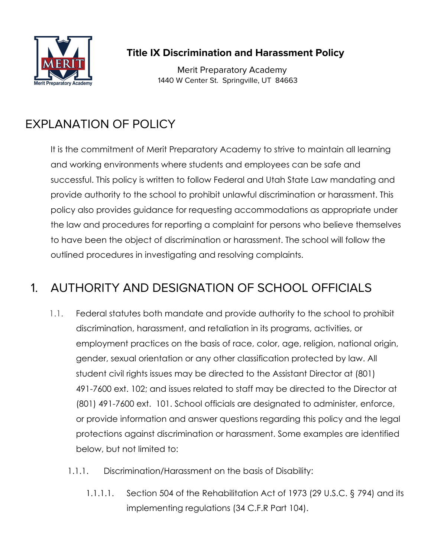

**Title IX Discrimination and Harassment Policy**

Merit Preparatory Academy 1440 W Center St. Springville, UT 84663

# EXPLANATION OF POLICY

It is the commitment of Merit Preparatory Academy to strive to maintain all learning and working environments where students and employees can be safe and successful. This policy is written to follow Federal and Utah State Law mandating and provide authority to the school to prohibit unlawful discrimination or harassment. This policy also provides guidance for requesting accommodations as appropriate under the law and procedures for reporting a complaint for persons who believe themselves to have been the object of discrimination or harassment. The school will follow the outlined procedures in investigating and resolving complaints.

# 1. AUTHORITY AND DESIGNATION OF SCHOOL OFFICIALS

- 1.1. Federal statutes both mandate and provide authority to the school to prohibit discrimination, harassment, and retaliation in its programs, activities, or employment practices on the basis of race, color, age, religion, national origin, gender, sexual orientation or any other classification protected by law. All student civil rights issues may be directed to the Assistant Director at (801) 491-7600 ext. 102; and issues related to staff may be directed to the Director at (801) 491-7600 ext. 101. School officials are designated to administer, enforce, or provide information and answer questions regarding this policy and the legal protections against discrimination or harassment. Some examples are identified below, but not limited to:
	- 1.1.1. Discrimination/Harassment on the basis of Disability:
		- 1.1.1.1. Section 504 of the Rehabilitation Act of 1973 (29 U.S.C. § 794) and its implementing regulations (34 C.F.R Part 104).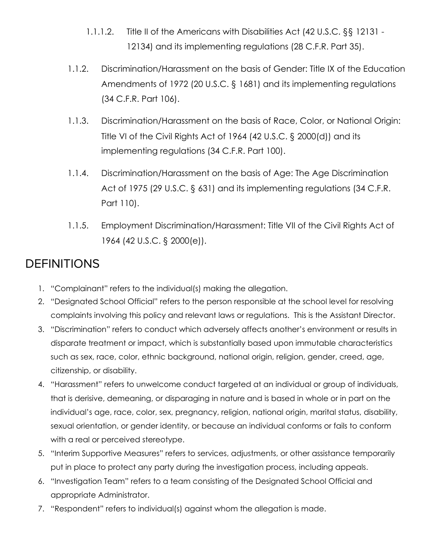- 1.1.1.2. Title II of the Americans with Disabilities Act (42 U.S.C. §§ 12131 12134) and its implementing regulations (28 C.F.R. Part 35).
- 1.1.2. Discrimination/Harassment on the basis of Gender: Title IX of the Education Amendments of 1972 (20 U.S.C. § 1681) and its implementing regulations (34 C.F.R. Part 106).
- 1.1.3. Discrimination/Harassment on the basis of Race, Color, or National Origin: Title VI of the Civil Rights Act of 1964 (42 U.S.C. § 2000(d)) and its implementing regulations (34 C.F.R. Part 100).
- 1.1.4. Discrimination/Harassment on the basis of Age: The Age Discrimination Act of 1975 (29 U.S.C. § 631) and its implementing regulations (34 C.F.R. Part 110).
- 1.1.5. Employment Discrimination/Harassment: Title VII of the Civil Rights Act of 1964 (42 U.S.C. § 2000(e)).

### **DEFINITIONS**

- 1. "Complainant" refers to the individual(s) making the allegation.
- 2. "Designated School Official" refers to the person responsible at the school level for resolving complaints involving this policy and relevant laws or regulations. This is the Assistant Director.
- 3. "Discrimination" refers to conduct which adversely affects another's environment or results in disparate treatment or impact, which is substantially based upon immutable characteristics such as sex, race, color, ethnic background, national origin, religion, gender, creed, age, citizenship, or disability.
- 4. "Harassment" refers to unwelcome conduct targeted at an individual or group of individuals, that is derisive, demeaning, or disparaging in nature and is based in whole or in part on the individual's age, race, color, sex, pregnancy, religion, national origin, marital status, disability, sexual orientation, or gender identity, or because an individual conforms or fails to conform with a real or perceived stereotype.
- 5. "Interim Supportive Measures" refers to services, adjustments, or other assistance temporarily put in place to protect any party during the investigation process, including appeals.
- 6. "Investigation Team" refers to a team consisting of the Designated School Official and appropriate Administrator.
- 7. "Respondent" refers to individual(s) against whom the allegation is made.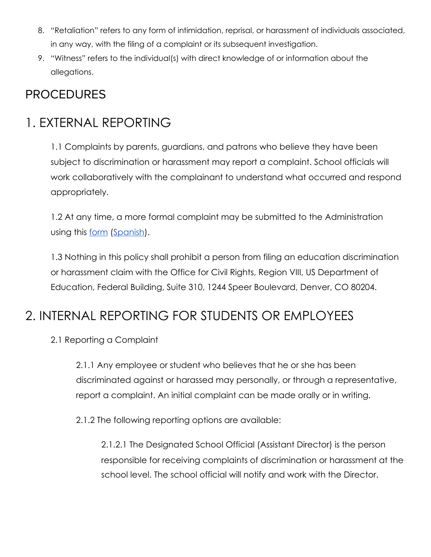- 8. "Retaliation" refers to any form of intimidation, reprisal, or harassment of individuals associated, in any way, with the filing of a complaint or its subsequent investigation.
- 9. "Witness" refers to the individual(s) with direct knowledge of or information about the allegations.

### PROCEDURES

# 1. EXTERNAL REPORTING

1.1 Complaints by parents, guardians, and patrons who believe they have been subject to discrimination or harassment may report a complaint. School officials will work collaboratively with the complainant to understand what occurred and respond appropriately.

1.2 At any time, a more formal complaint may be submitted to the Administration using this [form](https://docs.google.com/forms/d/1Iqjvc6o4NI6sSuzyY0AVEHcccIbq2xihPGStERQnNTE/edit) [\(Spanish\)](https://docs.google.com/forms/d/1LQdv-CCGYiqS0shb_3MLO-NygVIJ5gUN7AbHUIBZQGg/edit).

1.3 Nothing in this policy shall prohibit a person from filing an education discrimination or harassment claim with the Office for Civil Rights, Region VIII, US Department of Education, Federal Building, Suite 310, 1244 Speer Boulevard, Denver, CO 80204.

# 2. INTERNAL REPORTING FOR STUDENTS OR EMPLOYEES

2.1 Reporting a Complaint

2.1.1 Any employee or student who believes that he or she has been discriminated against or harassed may personally, or through a representative, report a complaint. An initial complaint can be made orally or in writing.

2.1.2 The following reporting options are available:

2.1.2.1 The Designated School Official (Assistant Director) is the person responsible for receiving complaints of discrimination or harassment at the school level. The school official will notify and work with the Director.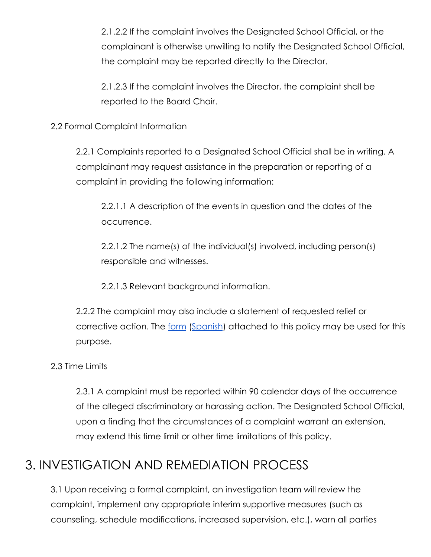2.1.2.2 If the complaint involves the Designated School Official, or the complainant is otherwise unwilling to notify the Designated School Official, the complaint may be reported directly to the Director.

2.1.2.3 If the complaint involves the Director, the complaint shall be reported to the Board Chair.

2.2 Formal Complaint Information

2.2.1 Complaints reported to a Designated School Official shall be in writing. A complainant may request assistance in the preparation or reporting of a complaint in providing the following information:

2.2.1.1 A description of the events in question and the dates of the occurrence.

2.2.1.2 The name(s) of the individual(s) involved, including person(s) responsible and witnesses.

2.2.1.3 Relevant background information.

2.2.2 The complaint may also include a statement of requested relief or corrective action. The [form](https://docs.google.com/forms/d/1Iqjvc6o4NI6sSuzyY0AVEHcccIbq2xihPGStERQnNTE/edit) ([Spanish](https://docs.google.com/forms/d/1LQdv-CCGYiqS0shb_3MLO-NygVIJ5gUN7AbHUIBZQGg/edit)) attached to this policy may be used for this purpose.

2.3 Time Limits

2.3.1 A complaint must be reported within 90 calendar days of the occurrence of the alleged discriminatory or harassing action. The Designated School Official, upon a finding that the circumstances of a complaint warrant an extension, may extend this time limit or other time limitations of this policy.

# 3. INVESTIGATION AND REMEDIATION PROCESS

3.1 Upon receiving a formal complaint, an investigation team will review the complaint, implement any appropriate interim supportive measures (such as counseling, schedule modifications, increased supervision, etc.), warn all parties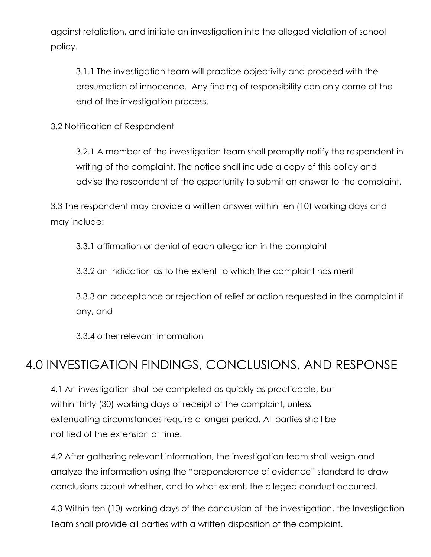against retaliation, and initiate an investigation into the alleged violation of school policy.

3.1.1 The investigation team will practice objectivity and proceed with the presumption of innocence. Any finding of responsibility can only come at the end of the investigation process.

3.2 Notification of Respondent

3.2.1 A member of the investigation team shall promptly notify the respondent in writing of the complaint. The notice shall include a copy of this policy and advise the respondent of the opportunity to submit an answer to the complaint.

3.3 The respondent may provide a written answer within ten (10) working days and may include:

3.3.1 affirmation or denial of each allegation in the complaint

3.3.2 an indication as to the extent to which the complaint has merit

3.3.3 an acceptance or rejection of relief or action requested in the complaint if any, and

3.3.4 other relevant information

# 4.0 INVESTIGATION FINDINGS, CONCLUSIONS, AND RESPONSE

4.1 An investigation shall be completed as quickly as practicable, but within thirty (30) working days of receipt of the complaint, unless extenuating circumstances require a longer period. All parties shall be notified of the extension of time.

4.2 After gathering relevant information, the investigation team shall weigh and analyze the information using the "preponderance of evidence" standard to draw conclusions about whether, and to what extent, the alleged conduct occurred.

4.3 Within ten (10) working days of the conclusion of the investigation, the Investigation Team shall provide all parties with a written disposition of the complaint.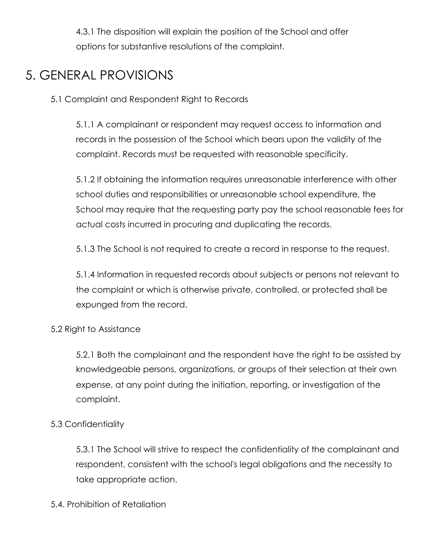4.3.1 The disposition will explain the position of the School and offer options for substantive resolutions of the complaint.

# 5. GENERAL PROVISIONS

5.1 Complaint and Respondent Right to Records

5.1.1 A complainant or respondent may request access to information and records in the possession of the School which bears upon the validity of the complaint. Records must be requested with reasonable specificity.

5.1.2 If obtaining the information requires unreasonable interference with other school duties and responsibilities or unreasonable school expenditure, the School may require that the requesting party pay the school reasonable fees for actual costs incurred in procuring and duplicating the records.

5.1.3 The School is not required to create a record in response to the request.

5.1.4 Information in requested records about subjects or persons not relevant to the complaint or which is otherwise private, controlled, or protected shall be expunged from the record.

#### 5.2 Right to Assistance

5.2.1 Both the complainant and the respondent have the right to be assisted by knowledgeable persons, organizations, or groups of their selection at their own expense, at any point during the initiation, reporting, or investigation of the complaint.

#### 5.3 Confidentiality

5.3.1 The School will strive to respect the confidentiality of the complainant and respondent, consistent with the school's legal obligations and the necessity to take appropriate action.

#### 5.4. Prohibition of Retaliation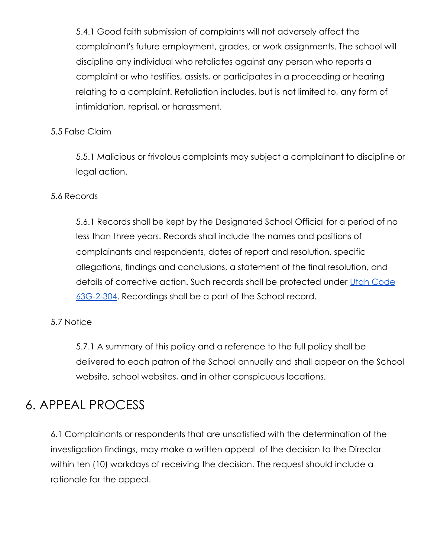5.4.1 Good faith submission of complaints will not adversely affect the complainant's future employment, grades, or work assignments. The school will discipline any individual who retaliates against any person who reports a complaint or who testifies, assists, or participates in a proceeding or hearing relating to a complaint. Retaliation includes, but is not limited to, any form of intimidation, reprisal, or harassment.

#### 5.5 False Claim

5.5.1 Malicious or frivolous complaints may subject a complainant to discipline or legal action.

#### 5.6 Records

5.6.1 Records shall be kept by the Designated School Official for a period of no less than three years. Records shall include the names and positions of complainants and respondents, dates of report and resolution, specific allegations, findings and conclusions, a statement of the final resolution, and details of corrective action. Such records shall be protected under [Utah Code](https://le.utah.gov/xcode/Title63G/Chapter2/63G-2-S304.html) [63G-2-304](https://le.utah.gov/xcode/Title63G/Chapter2/63G-2-S304.html). Recordings shall be a part of the School record.

#### 5.7 Notice

5.7.1 A summary of this policy and a reference to the full policy shall be delivered to each patron of the School annually and shall appear on the School website, school websites, and in other conspicuous locations.

# 6. APPEAL PROCESS

6.1 Complainants or respondents that are unsatisfied with the determination of the investigation findings, may make a written appeal of the decision to the Director within ten (10) workdays of receiving the decision. The request should include a rationale for the appeal.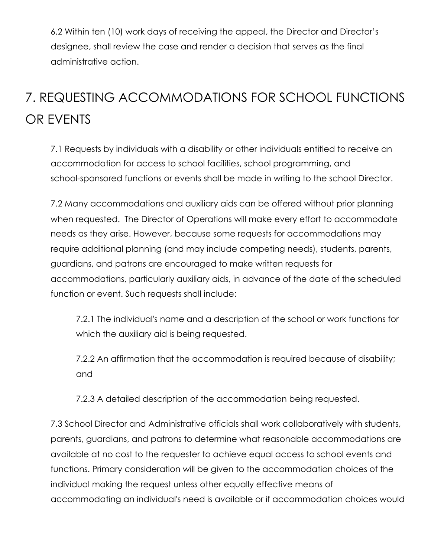6.2 Within ten (10) work days of receiving the appeal, the Director and Director's designee, shall review the case and render a decision that serves as the final administrative action.

# 7. REQUESTING ACCOMMODATIONS FOR SCHOOL FUNCTIONS OR EVENTS

7.1 Requests by individuals with a disability or other individuals entitled to receive an accommodation for access to school facilities, school programming, and school-sponsored functions or events shall be made in writing to the school Director.

7.2 Many accommodations and auxiliary aids can be offered without prior planning when requested. The Director of Operations will make every effort to accommodate needs as they arise. However, because some requests for accommodations may require additional planning (and may include competing needs), students, parents, guardians, and patrons are encouraged to make written requests for accommodations, particularly auxiliary aids, in advance of the date of the scheduled function or event. Such requests shall include:

7.2.1 The individual's name and a description of the school or work functions for which the auxiliary aid is being requested.

7.2.2 An affirmation that the accommodation is required because of disability; and

7.2.3 A detailed description of the accommodation being requested.

7.3 School Director and Administrative officials shall work collaboratively with students, parents, guardians, and patrons to determine what reasonable accommodations are available at no cost to the requester to achieve equal access to school events and functions. Primary consideration will be given to the accommodation choices of the individual making the request unless other equally effective means of accommodating an individual's need is available or if accommodation choices would